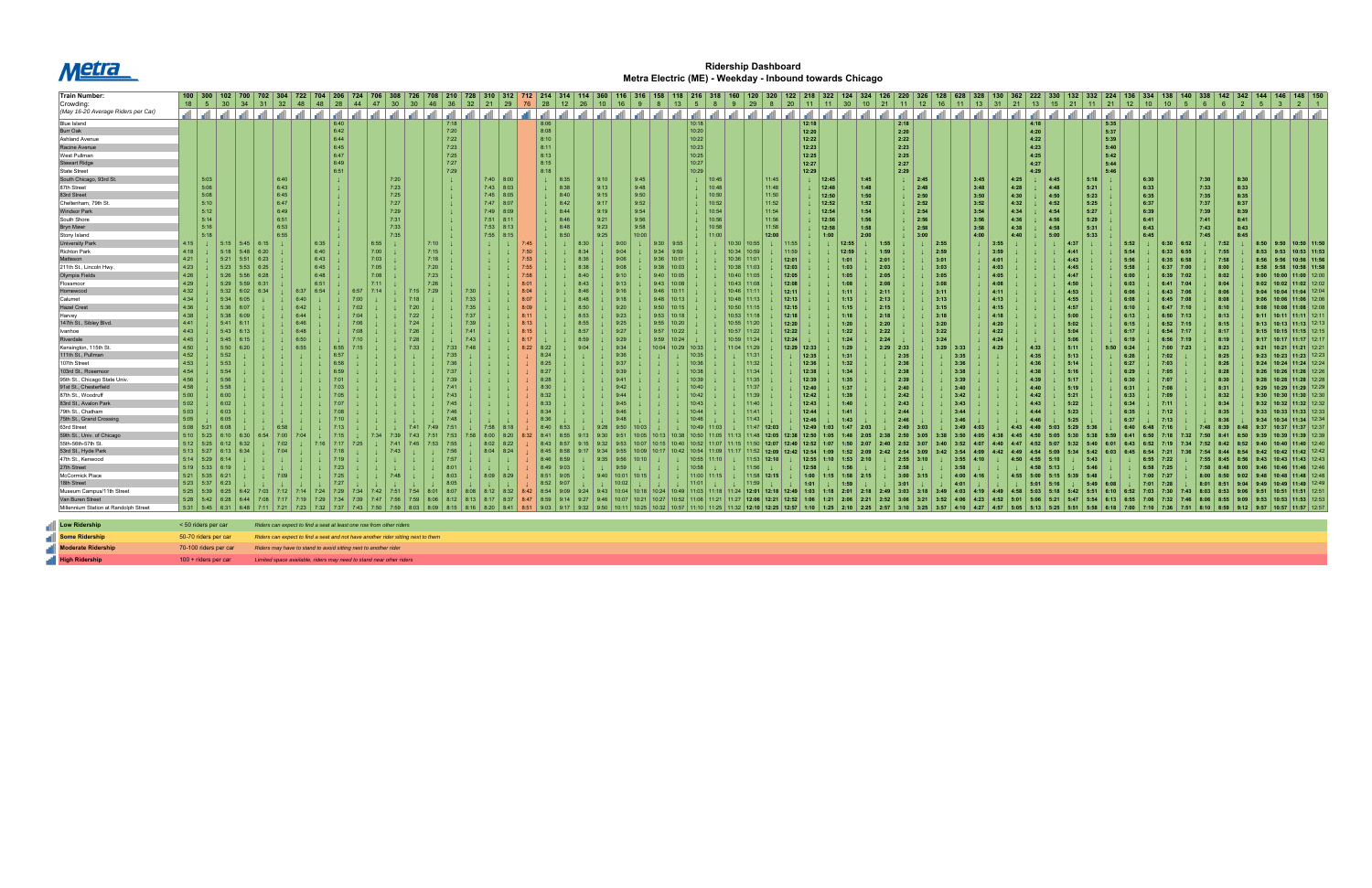

## **Ridership Dashboard Metra Electric (ME) - Weekday - Inbound towards Chicago**

| <b>Train Number:</b>                  | 100 300 102 700 702 304 722 704 206 724 706 308 |      |      |                        |                                                                                  |      |              |                                                                     |         |       |                 |      | 726   708   210   728   310   312   712   214   314   114   360 |    |                                  |      |             |      |      |                         |                         |      | 118 ∣          |                       |                 | 120             |                                        | 122             | 218   322 |                                                 |      | $\vert$ 220  |                    |             |      |              |             |                                            | 132          | 332   224        |      |             |             |                                  | $142$ 342    | 146   148   150                                                                   |                 |
|---------------------------------------|-------------------------------------------------|------|------|------------------------|----------------------------------------------------------------------------------|------|--------------|---------------------------------------------------------------------|---------|-------|-----------------|------|-----------------------------------------------------------------|----|----------------------------------|------|-------------|------|------|-------------------------|-------------------------|------|----------------|-----------------------|-----------------|-----------------|----------------------------------------|-----------------|-----------|-------------------------------------------------|------|--------------|--------------------|-------------|------|--------------|-------------|--------------------------------------------|--------------|------------------|------|-------------|-------------|----------------------------------|--------------|-----------------------------------------------------------------------------------|-----------------|
| Crowding:                             | $18$ 5 30                                       |      | 34   |                        | 31   32                                                                          | 48   | $ 48\rangle$ | $28 \mid 44$                                                        |         | 47 30 | 30 <sup>°</sup> | 46   | ∣ 36                                                            | 32 | 21   29   76   28   12   26   10 |      |             |      |      | 16                      | $\overline{9}$          |      | 13             | $5 \vert$             |                 | $9 \mid 29$     | 8 <sup>2</sup>                         | 20   11         |           | 11   30   10   21   11   12   16   11   13   31 |      |              |                    |             |      |              |             | 21   13   15   21   11   21   12   10   10 |              |                  |      |             |             | 6                                |              |                                                                                   |                 |
| (May 16-20 Average Riders per Car)    |                                                 |      |      |                        |                                                                                  |      |              |                                                                     |         |       |                 |      |                                                                 |    |                                  |      |             |      |      |                         |                         |      |                |                       |                 |                 |                                        |                 |           |                                                 |      |              |                    |             |      |              |             |                                            |              |                  |      |             |             |                                  |              |                                                                                   |                 |
|                                       |                                                 |      |      |                        |                                                                                  |      |              |                                                                     |         |       |                 |      |                                                                 |    |                                  |      |             |      |      |                         |                         |      |                |                       | الشاشان الشاشان |                 |                                        | ا ان ا ان       |           | الشاش                                           |      | ا اسا اسا اس | الشاشات السالسالسا |             |      |              | ا اسا اس    |                                            |              |                  |      |             |             |                                  |              | التحالته التحالي التحالته التحالي التحالي التحالي التحالي التحالي التحالي التحالي |                 |
| <b>Blue Island</b>                    |                                                 |      |      |                        |                                                                                  |      |              | 6:40                                                                |         |       |                 |      | 7:18                                                            |    |                                  |      | 8:06        |      |      |                         |                         |      |                | 10:18                 |                 |                 |                                        | 12:18           |           |                                                 |      | 2:18         |                    |             |      |              | 4:18        |                                            |              | 5:35             |      |             |             |                                  |              |                                                                                   |                 |
| Burr Oak                              |                                                 |      |      |                        |                                                                                  |      |              | 6:42                                                                |         |       |                 |      | 7:20                                                            |    |                                  |      | 8:08        |      |      |                         |                         |      |                | 10:20                 |                 |                 |                                        | 12:20           |           |                                                 |      | 2:20         |                    |             |      |              | 4:20        |                                            |              | 5:37             |      |             |             |                                  |              |                                                                                   |                 |
| <b>Ashland Avenue</b>                 |                                                 |      |      |                        |                                                                                  |      |              | 6:44                                                                |         |       |                 |      | 7:22                                                            |    |                                  |      | 8:10        |      |      |                         |                         |      |                | 10:22                 |                 |                 |                                        | 12:22           |           |                                                 |      | 2:22         |                    |             |      |              | 4:22        |                                            |              | 5:39             |      |             |             |                                  |              |                                                                                   |                 |
| Racine Avenue                         |                                                 |      |      |                        |                                                                                  |      |              | 6:45                                                                |         |       |                 |      | 7:23                                                            |    |                                  |      | 8:11        |      |      |                         |                         |      |                | 10:23                 |                 |                 |                                        | 12:23           |           |                                                 |      | 2:23         |                    |             |      |              | 4:23        |                                            |              | 5:40             |      |             |             |                                  |              |                                                                                   |                 |
| West Pullman                          |                                                 |      |      |                        |                                                                                  |      |              | 6:47                                                                |         |       |                 |      | 7:25                                                            |    |                                  |      | 8:13        |      |      |                         |                         |      |                | 10:25                 |                 |                 |                                        |                 | 12:25     |                                                 |      | 2:25         |                    |             |      |              | 4:25        |                                            |              | 5:42             |      |             |             |                                  |              |                                                                                   |                 |
| <b>Stewart Ridge</b>                  |                                                 |      |      |                        |                                                                                  |      |              | 6:49                                                                |         |       |                 |      | 7:27                                                            |    |                                  |      | 8:15        |      |      |                         |                         |      |                | 10:27                 |                 |                 |                                        | 12:27           |           |                                                 |      | 2:27         |                    |             |      |              | 4:27        |                                            |              | 5:44             |      |             |             |                                  |              |                                                                                   |                 |
| <b>State Street</b>                   |                                                 |      |      |                        |                                                                                  |      |              | 6:51                                                                |         |       |                 |      | 7:29                                                            |    |                                  |      | 8:18        |      |      |                         |                         |      |                | 10:29                 |                 |                 |                                        |                 | 12:29     |                                                 |      | 2:29         |                    |             |      |              | 4:29        |                                            |              | 5:46             |      |             |             |                                  |              |                                                                                   |                 |
| South Chicago, 93rd St.               |                                                 | 5:03 |      |                        | 6:40                                                                             |      |              |                                                                     |         | 7:20  |                 |      | $\perp$                                                         |    | $7:40$ 8:00                      |      | $\perp$     | 8:35 |      | 9:10                    | 9:45                    |      |                | $\downarrow$   10:45  |                 |                 | 11:45                                  |                 | 12:45     | 1:45                                            |      |              | 2:45               |             | 3:45 | 4:25         |             | 4:45                                       | 5:18         |                  |      | 6:30        |             | 7:30                             | 8:30         |                                                                                   |                 |
| 87th Street                           |                                                 | 5:06 |      |                        | 6:43                                                                             |      |              |                                                                     |         | 7:23  |                 |      |                                                                 |    | $7:43$ 8:03                      |      |             | 8:38 |      | 9:13                    | 9:48                    |      |                | $\downarrow$ 10:48    |                 |                 | 11:48                                  |                 | 12:48     | 1:48                                            |      |              | 2:48               |             | 3:48 | 4:28         |             | 4:48                                       | 5:21         |                  |      | 6:33        |             | 7:33                             | 8:33         |                                                                                   |                 |
| 83rd Street                           |                                                 | 5:08 |      |                        | 6:45                                                                             |      |              |                                                                     |         | 7:25  |                 |      |                                                                 |    | $7:45$ 8:05                      |      |             | 8:40 |      | 9:15                    | 9:50                    |      |                | $\downarrow$ 10:50    |                 |                 | 11:50                                  |                 | 12:50     | 1:50                                            |      |              | 2:50               |             | 3:50 | 4:30         |             | 4:50                                       | 5:23         |                  |      | 6:35        |             | 7:35                             | 8:35         |                                                                                   |                 |
| Cheltenham, 79th St.                  |                                                 | 5:10 |      |                        | 6:47                                                                             |      |              |                                                                     |         | 7:27  |                 |      |                                                                 |    | $7:47$ 8:07                      |      |             | 8:42 |      | 9:17                    | 9:52                    |      |                | $\downarrow$ 10:52    |                 |                 | 11:52                                  |                 | 12:52     | 1:52                                            |      |              | 2:52               |             | 3:52 | 4:32         |             | 4:52                                       | 5:25         |                  |      | 6:37        |             | 7:37                             | 8:37         |                                                                                   |                 |
| <b>Windsor Park</b>                   |                                                 | 5:12 |      |                        | 6:49                                                                             |      |              |                                                                     |         | 7:29  |                 |      |                                                                 |    | $7:49$ 8:09                      |      |             | 8:44 |      | 9:19                    | 9:54                    |      |                | $1 \mid 10:54$        |                 |                 | 11:54                                  |                 | 12:54     | 1:54                                            |      |              | 2:54               |             | 3:54 | 4:34         |             | 4:54                                       | 5:27         |                  |      | 6:39        |             | 7:39                             | 8:39         |                                                                                   |                 |
| South Shore                           |                                                 | 5:14 |      |                        | 6:51                                                                             |      |              |                                                                     |         | 7:31  |                 |      |                                                                 |    | $7:51$ 8:11                      |      |             | 8:46 |      | 9:21                    | 9:56                    |      |                | $1 \mid 10:56$        |                 |                 | 11:56                                  |                 | 12:56     | 1:56                                            |      |              | 2:56               |             | 3:56 | 4:36         |             | 4:56                                       | 5:29         |                  |      | 6:41        |             | 7:41                             | 8:41         |                                                                                   |                 |
| <b>Bryn Mawr</b>                      |                                                 | 5:16 |      |                        | 6:53                                                                             |      |              |                                                                     |         | 7:33  |                 |      |                                                                 |    | $7:53$ 8:13                      |      |             | 8:48 |      | 9:23                    | 9:58                    |      |                |                       | 10:58           |                 | 11:58                                  |                 | 12:58     | 1:58                                            |      |              | 2:58               |             | 3:58 | 4:38         |             | 4:58                                       | 5:31         |                  |      | 6:43        |             | 7:43                             | 8:43         |                                                                                   |                 |
| Stony Island                          |                                                 | 5:18 |      |                        | 6:55                                                                             |      |              |                                                                     |         | 7:35  |                 |      |                                                                 |    | 7:55<br>8:15                     |      |             | 8:50 |      | 9:25                    | 10:00                   |      |                |                       | 11:00           |                 | 12:00                                  |                 | 1:00      | 2:00                                            |      |              | 3:00               |             | 4:00 | 4:40         |             | 5:00                                       | 5:33         |                  |      | 6:45        |             | 7:45                             | 8:45         |                                                                                   |                 |
| <b>University Parl</b>                | $4:15$                                          |      |      | $\perp$ 5:15 5:45 6:15 |                                                                                  |      | 6:35         |                                                                     | $6:55$  |       |                 | 7:10 |                                                                 |    |                                  |      |             |      |      | 9:00                    |                         |      | $9:30$ 9:55    |                       |                 | 10:30   10:55   |                                        | 11:55           |           | 12:55                                           | 1:55 |              | 2:55               |             |      | 3.55         |             |                                            |              |                  |      |             | $6:30$ 6:52 |                                  | $\vert$ 7:52 | $8:50$   $9:50$   $10:50$   $11:50$                                               |                 |
| <b>Richton Park</b>                   | 4:18                                            | 5:18 | 5:48 | 6:20                   |                                                                                  |      | 6:40         |                                                                     |         | 7:00  |                 | 7:15 |                                                                 |    |                                  |      |             |      |      | 9:04                    |                         | 9:34 | 9:59           |                       |                 | $10:34$   10:59 |                                        | 11:59           |           | 12:59                                           | 1:59 |              | 2:59               |             |      | 3:59         |             |                                            | 4:41         |                  | 5:54 | 6:33        | 6:55        |                                  | 7:55         | $8:53$   $9:53$   10:53   11:53                                                   |                 |
| Aatteson                              | 4:21                                            | 5:21 |      | $5:51$ 6:23            |                                                                                  |      | 6:43         |                                                                     | 7:03    |       |                 | 7:18 |                                                                 |    |                                  |      |             |      |      | 9:06                    |                         |      | $9:36$   10:01 |                       |                 | $10:36$   11:01 |                                        | 12:01           |           | 1:01                                            | 2:01 |              | 3:01               |             |      | 4:01         |             |                                            | 4:43         |                  | 5:56 |             | $6:35$ 6:58 |                                  | 7:58         | $8:56$ 9:56 10:56 11:56                                                           |                 |
| 211th St., Lincoln Hwy                | 4:23                                            | 5:23 |      | $5:53$ 6:25            |                                                                                  |      | 6:45         |                                                                     | 7:05    |       |                 | 7:20 |                                                                 |    |                                  |      |             |      |      | 9:08                    |                         |      | $9:38$   10:03 |                       |                 | $10:38$   11:03 |                                        | 12:03           |           | 1:03                                            | 2:03 |              | 3:03               |             |      | 4:03         |             |                                            | 4:45         |                  | 5:58 |             | $6:37$ 7:00 |                                  | 8:00         | $8:58$   $9:58$   10:58   11:58                                                   |                 |
|                                       |                                                 | 5:26 |      | $5:56$ 6:28            |                                                                                  |      | 6:48         |                                                                     | 7:08    |       |                 | 7:23 |                                                                 |    |                                  |      |             |      | 8:40 | 9:10                    |                         |      | $9:40$   10:05 |                       |                 | 10:40   11:05   |                                        | 12:05           |           | 1:05                                            | 2:05 |              | 3:05               |             |      | 4:05         |             |                                            | 4:47         |                  | 6:00 |             |             |                                  | 8:02         | 9:00   10:00   11:00   12:00                                                      |                 |
| Olympia Fields                        | 4:26                                            |      |      |                        |                                                                                  |      |              |                                                                     | 7:11    |       |                 |      |                                                                 |    |                                  |      |             |      |      |                         |                         |      |                |                       |                 |                 |                                        |                 |           |                                                 |      |              |                    |             |      |              |             |                                            |              |                  |      |             | $6:39$ 7:02 |                                  |              |                                                                                   |                 |
| Flossmoor                             | 4:29                                            | 5:29 |      | $5:59$ 6:3             |                                                                                  |      | 6:51         |                                                                     |         |       |                 | 7:26 |                                                                 |    |                                  |      |             |      | 8:43 | 9:13                    |                         |      | $9:43$   10:08 |                       |                 | $10:43$   11:08 |                                        | 12:08           |           | 1:08                                            | 2:08 |              | 3:08               |             |      | 4:08         |             |                                            | 4:50         |                  | 6:03 |             | $6:41$ 7:04 |                                  | 8:04         | 9:02   10:02   11:02   12:02                                                      |                 |
| Homewood                              | 4:32                                            | 5:32 | 6:02 | 6:34                   |                                                                                  | 6:37 | 6:54         |                                                                     | $-7:14$ |       | 7:15            | 7:29 |                                                                 |    |                                  |      |             |      |      | 9:16                    |                         |      | $9:46$   10:11 |                       |                 | $10:46$ 11:11   |                                        | 12:11           |           | 1:11                                            | 2:11 |              | 3:11               |             |      | 4:11         |             |                                            | 4:53         |                  | 6:06 |             | $6:43$ 7:06 |                                  | 8:06         | $9:04$   10:04   11:04   12:04                                                    |                 |
| Calumet                               | 4:34                                            | 5:34 | 6:05 |                        |                                                                                  |      |              |                                                                     | 7:00    |       |                 |      |                                                                 |    |                                  |      |             |      |      | 9:18                    |                         |      | $9:48$   10:13 |                       |                 | $10:48$   11:13 |                                        | 12:13           |           | 1:13                                            | 2:13 |              | 3:13               |             |      | 4:13         |             |                                            | 4:55         |                  | 6:08 |             | $6:45$ 7:08 |                                  | 8:08         | $9:06$   10:06   11:06   12:06                                                    |                 |
| <b>Hazel Crest</b>                    | 4:36                                            | 5:36 | 6:07 |                        |                                                                                  |      |              |                                                                     | 7:02    |       | 7:20            |      |                                                                 |    |                                  | 8:09 |             |      | 8:50 | 9:20                    |                         |      | $9:50$   10:15 |                       |                 | $10:50$   11:15 |                                        | 12:15           |           | 1:15                                            | 2:15 |              | 3:15               |             |      | 4:15         |             |                                            | 4:57         |                  | 6:10 |             | $6:47$ 7:10 |                                  | 8:10         | 9:08   10:08   11:08   12:08                                                      |                 |
| Harvey                                | 4:38                                            | 5:38 |      |                        |                                                                                  |      |              |                                                                     |         |       | 7:22            |      |                                                                 |    |                                  |      |             |      |      | 9:23                    |                         |      | $9:53$   10:18 |                       |                 | $10:53$   11:18 |                                        | 12:18           |           | 1:18                                            | 2:18 |              | 3:18               |             |      | 4:18         |             |                                            | 5:00         |                  | 6:13 |             | $6:50$ 7:13 |                                  | 8:13         | 9:11   10:11   11:11   12:11                                                      |                 |
| 147th St., Sibley Blvd.               | 4:41                                            | 5:41 | 6:11 |                        |                                                                                  |      |              |                                                                     |         |       | 7:24            |      |                                                                 |    |                                  |      |             |      | 8:55 | 9:25                    |                         |      | $9:55$   10:20 |                       |                 | 10:55   11:20   |                                        | 12:20           |           | 1:20                                            | 2:20 |              | 3:20               |             |      | 4:20         |             |                                            | 5:02         |                  | 6:15 |             | $6:52$ 7:15 |                                  | 8:15         | 9:13   10:13   11:13   12:13                                                      |                 |
| Ivanhoe                               | 4:43                                            |      | 5:43 |                        |                                                                                  |      |              |                                                                     |         |       |                 |      |                                                                 |    |                                  |      |             |      | 8:57 | 9:27                    |                         |      | $9:57$   10:22 |                       |                 | 10:57   11:22   |                                        | 12:22           |           | 1:22                                            | 2:22 |              | 3:22               |             |      | 4:22         |             |                                            | 5:04         |                  | 6:17 |             | $6:54$ 7:17 |                                  | 8:17         | $9:15$   10:15   11:15   12:15                                                    |                 |
| Riverdale                             | 4:45                                            |      |      |                        |                                                                                  |      |              |                                                                     |         |       |                 |      |                                                                 |    |                                  |      |             |      | 8:59 | 9:29                    |                         |      |                |                       |                 | 10:59   11:24   |                                        | 12:24           |           | 1:24                                            | 2:24 |              | 3:24               |             |      | 4:24         |             |                                            | 5:06         |                  | 6:19 |             | $6:56$ 7:19 |                                  | 8:19         | 9:17   10:17   11:17   12:17                                                      |                 |
| Kensington, 115th St.                 | 4:50                                            | 5:50 |      |                        |                                                                                  |      |              |                                                                     |         |       |                 |      |                                                                 |    |                                  | 8:22 | 8:22        |      | 9:04 | 9:34                    |                         |      | 10:29          | 10:33                 |                 | 11:04   11:29   |                                        | 12:29   12:33   |           | 1:29                                            | 2:29 | 2:33         |                    | $3:29$ 3:33 |      | 4:29         | 4:33        |                                            | 5:11         | 5:50             | 6:24 | 7:00        | 7:23        |                                  | 8:23         | 9:21   10:21   11:21   12:21                                                      |                 |
| 111th St., Pullman                    | 4:52                                            | 5:52 |      |                        |                                                                                  |      |              |                                                                     |         |       |                 |      |                                                                 |    |                                  |      | 8:24        |      |      | 9:36                    |                         |      |                |                       |                 | 11:31           |                                        |                 | 12:35     | 1:31                                            |      | 2:35         |                    | 3:35        |      |              | 4:35        |                                            | 5:13         |                  | 6:26 | 7:02        |             |                                  | 8:25         | 9:23   10:23   11:23   12:23                                                      |                 |
| 107th Street                          | 4:53                                            | 5:53 |      |                        |                                                                                  |      |              |                                                                     |         |       |                 |      |                                                                 |    |                                  |      | 8:25        |      |      |                         |                         |      |                | 10:36                 |                 | 11:32           |                                        | 12:36           |           | 1:32                                            |      | 2:36         |                    | 3:36        |      |              | 4:36        |                                            | 5:14         |                  | 6:27 | 7:03        |             |                                  | 8:26         | $9:24$   10:24   11:24   12:24                                                    |                 |
| 103rd St., Rosemoor                   | 4:54                                            | 5:54 |      |                        |                                                                                  |      |              |                                                                     |         |       |                 |      |                                                                 |    |                                  |      | 8:27        |      |      |                         |                         |      |                | 10:38                 |                 | 11:34           |                                        | 12:38           |           | 1:34                                            |      | 2:38         |                    | 3:38        |      |              | 4:38        |                                            | 5:16         |                  | 6:29 | 7:05        |             |                                  | 8:28         | $9:26$   10:26   11:26   12:26                                                    |                 |
| 95th St., Chicago State Univ.         | 4:56                                            | 5:56 |      |                        |                                                                                  |      |              |                                                                     |         |       |                 |      |                                                                 |    |                                  |      | 8:28        |      |      |                         |                         |      |                | 10:39                 |                 | 11:35           |                                        | 12:39           |           | 1:35                                            |      | 2:39         |                    | 3:39        |      |              | 4:39        |                                            | 5:17         |                  | 6:30 | 7:07        |             |                                  | 8:30         | 9:28   10:28   11:28   12:28                                                      |                 |
| 91st St., Chesterfield                | 4:58                                            | 5:58 |      |                        |                                                                                  |      |              |                                                                     |         |       |                 |      |                                                                 |    |                                  |      |             |      |      |                         |                         |      |                | 10:40                 |                 | 11:37           |                                        | 12:40           |           | 1:37                                            |      | 2:40         |                    | 3:40        |      |              | 4:40        |                                            | 5:19         |                  | 6:31 | 7:08        |             |                                  | 8:31         | 9:29   10:29   11:29   12:29                                                      |                 |
| 87th St., Woodruff                    | 5:00                                            | 6:00 |      |                        |                                                                                  |      |              |                                                                     |         |       |                 |      |                                                                 |    |                                  |      | 8:32        |      |      |                         |                         |      |                | 10:42                 |                 | 11:39           |                                        | 12:42           |           | 1:39                                            |      | 2:42         |                    | 3:42        |      |              | 4:42        |                                            | 5:21         |                  | 6:33 | 7:09        |             |                                  | 8:32         | 9:30   10:30   11:30   12:30                                                      |                 |
| 83rd St., Avalon Park                 | 5:02                                            | 6:02 |      |                        |                                                                                  |      |              |                                                                     |         |       |                 |      |                                                                 |    |                                  |      |             |      |      |                         |                         |      |                | 10:43                 |                 | 11:40           |                                        | 12:43           |           | 1:40                                            |      | 2:43         |                    | 3:43        |      |              | 4:43        |                                            | 5:22         |                  | 6:34 | 7:11        |             |                                  | 8:34         | 9:32   10:32   11:32   12:32                                                      |                 |
| 79th St., Chatham                     | 5:03                                            | 6:03 |      |                        |                                                                                  |      |              |                                                                     |         |       |                 |      |                                                                 |    |                                  |      | 8:34        |      |      | 9:46                    |                         |      |                | 10:44                 |                 | 11:41           |                                        |                 | 12:44     | 1:41                                            |      | 2:44         |                    | 3:44        |      |              | 4:44        |                                            | 5:23         |                  |      | 7:12        |             |                                  | 8:35         | 9:33   10:33   11:33   12:33                                                      |                 |
| 75th St., Grand Crossing              | 5:05                                            | 6:05 |      |                        |                                                                                  |      |              |                                                                     |         |       |                 |      |                                                                 |    |                                  |      | 8:36        |      |      | 9:48                    |                         |      |                | 10:46                 |                 | 11:43           |                                        |                 | 12:46     | 1:43                                            |      | 2:46         |                    | 3:46        |      |              |             |                                            | 5:25         |                  | 6:37 | 7:13        |             |                                  | 8:36         |                                                                                   | $11:34$   12:34 |
| 63rd Street                           | $5:08$ 5:21                                     |      |      |                        |                                                                                  |      |              |                                                                     |         |       | 7:41            | 7:49 |                                                                 |    | 7:58<br>8:18                     |      | 8:40        | 8:53 |      | 9:28                    |                         |      |                | 10:49   11:03         |                 |                 | $11:47$   12:03                        | 12:49           | 1:03      | $1:47$ 2:03                                     |      | 2:49         | - 3:03             | 3:49        |      | 4:43         |             |                                            | 5:29         |                  |      |             |             | 7:48                             |              |                                                                                   |                 |
| 59th St., Univ. of Chicago            | $ 5:10$ 5:23                                    |      | 6:30 |                        |                                                                                  |      |              |                                                                     |         |       |                 |      |                                                                 |    | 8:20                             |      | 8:41        |      |      |                         |                         |      |                |                       |                 |                 |                                        |                 |           |                                                 |      |              |                    |             |      |              |             |                                            |              |                  |      |             |             |                                  |              |                                                                                   |                 |
| 55th-56th-57th St.                    | $5:12$ 5:25                                     | 6.12 |      |                        |                                                                                  |      |              |                                                                     |         |       |                 |      |                                                                 |    | 8:02<br>8:22                     |      | 8:43        |      |      |                         |                         |      |                |                       |                 |                 |                                        |                 |           |                                                 |      | 2:52         |                    | 3:52        |      |              |             |                                            |              |                  |      |             |             |                                  |              |                                                                                   |                 |
| 53rd St., Hyde Park                   | $5:13$ 5:27                                     | 6:13 | 6:34 |                        |                                                                                  |      |              |                                                                     |         | 7:43  |                 |      |                                                                 |    | $8:04$ 8:24                      |      | $8:45$ 8:58 |      |      |                         |                         |      |                |                       |                 |                 | $11:52$   12:09                        | $12:42$   12:54 | 1:09      | $1:52$ 2:09                                     | 2:42 | 2:54         | 3:09               | 3:54        |      |              |             |                                            | 5:42         |                  |      |             |             |                                  |              |                                                                                   |                 |
| 47th St., Kenwood                     | $5:14$ 5:29                                     | 6:14 |      |                        |                                                                                  |      |              |                                                                     |         |       |                 |      | 7:57                                                            |    |                                  |      | $8:46$ 8:59 |      |      | $9:35$   $9:56$   10:10 |                         |      |                | 10:55   11:10         |                 |                 | 11:53 12:10                            |                 |           | $12:55$ 1:10 1:53 2:10                          |      | $2:55$ 3:10  |                    | 3:55        | 4:10 | 4:50         | 4:55        | 5:10                                       | 5:43         |                  |      | $6:55$ 7:22 |             |                                  |              |                                                                                   |                 |
| 27th Street                           | $5:19$ 5:33 6:19                                |      |      |                        |                                                                                  |      |              |                                                                     |         |       |                 |      |                                                                 |    |                                  |      | $8:49$ 9:03 |      |      | 9:59                    |                         |      |                | 10:58                 |                 | 11:56           |                                        |                 | 12:58     |                                                 |      | 2:58         |                    | 3:58        |      |              | 4:58        | 5:13                                       | 5:46         |                  |      | $6:58$ 7:25 |             |                                  |              |                                                                                   |                 |
| McCormick Place                       | 5:21 5:35                                       | 6:21 |      |                        |                                                                                  |      |              | 7:25                                                                |         |       |                 |      |                                                                 |    | 8:09<br>8:29                     |      | 8:51        | 9:05 |      | $9:40$   10:01   10:15  |                         |      |                | $11:00$   11:15       |                 | $11:58$ 12:15   |                                        | 1:00            | 1:15      | 1:58<br>2:15                                    |      | 3:00         | 3:15               | 4:00        | 4:16 |              | $4:55$ 5:00 | 5:15                                       | 5:48<br>5:39 |                  |      | $7:00$ 7:27 |             |                                  |              |                                                                                   |                 |
| 18th Street                           | $5:23$ 5:37                                     | 6:23 |      |                        |                                                                                  |      |              | 7:27                                                                |         |       |                 |      | 8:05                                                            |    |                                  |      | 8:52        | 9:07 |      | 10:02                   |                         |      |                |                       |                 |                 |                                        |                 |           |                                                 |      |              |                    |             |      |              |             |                                            |              |                  |      |             |             |                                  |              |                                                                                   |                 |
|                                       |                                                 |      |      |                        |                                                                                  |      |              |                                                                     |         |       |                 |      |                                                                 |    |                                  |      |             |      |      |                         |                         |      |                | 11:01                 |                 | 11:59           |                                        | 1:01            |           |                                                 |      | 3:01         |                    | 4:01        |      |              | 5:01        |                                            |              | $5:49$ 6:08      |      | 7:01        |             |                                  |              |                                                                                   |                 |
| Museum Campus/11th Street             | $5:25$ 5:39                                     |      |      | 7:03                   |                                                                                  |      | 7:24         |                                                                     | 7:42    | 7:51  | 7:54            | 8:01 |                                                                 |    | 8:32                             | 8:42 | 8:54        | 9:09 | 9:24 | 9:43<br>10:04           |                         |      |                | 10:49   11:03   11:18 |                 |                 | $11:24$   12:01   12:18   12:49   1:03 |                 |           | 2:01                                            | 2:49 | 3:03         | 3:18               | 4:03 4:19   |      | 4:58         |             |                                            | 5:51         | 6:10             |      |             |             |                                  |              |                                                                                   |                 |
| Van Buren Street                      | $5:28$ 5:42 6:28                                |      |      |                        |                                                                                  |      |              | 7:34                                                                |         |       |                 |      |                                                                 |    | 8:37                             | 8:47 |             |      |      | 9:46                    | $10:07$   10:21   10:27 |      |                | 10:52   11:06   11:21 |                 | $11:27$   12:06 | 12:21                                  | 12:52           | 1:21      | 2:21                                            | 2:52 |              | 3:21               | 4:06        | 4:23 | 4:52<br>5:01 |             |                                            |              |                  |      |             |             |                                  |              |                                                                                   |                 |
| Millennium Station at Randolph Street |                                                 |      |      |                        |                                                                                  |      |              |                                                                     |         |       |                 |      |                                                                 |    |                                  |      |             |      |      |                         |                         |      |                |                       |                 |                 |                                        |                 |           |                                                 |      |              |                    |             |      |              |             |                                            |              | $5:58$ 6:18 7:00 |      | 7:10 7:36   |             | $ 7:51 $ 8:10 $ 8:59 $ 9:12 9:57 |              | $10:57$ 11:57 12:57                                                               |                 |
|                                       |                                                 |      |      |                        |                                                                                  |      |              |                                                                     |         |       |                 |      |                                                                 |    |                                  |      |             |      |      |                         |                         |      |                |                       |                 |                 |                                        |                 |           |                                                 |      |              |                    |             |      |              |             |                                            |              |                  |      |             |             |                                  |              |                                                                                   |                 |
| <b>Low Ridership</b>                  | < 50 riders per car                             |      |      |                        |                                                                                  |      |              | Riders can expect to find a seat at least one row from other riders |         |       |                 |      |                                                                 |    |                                  |      |             |      |      |                         |                         |      |                |                       |                 |                 |                                        |                 |           |                                                 |      |              |                    |             |      |              |             |                                            |              |                  |      |             |             |                                  |              |                                                                                   |                 |
| Some Ridership                        | 50-70 riders per car                            |      |      |                        | Riders can expect to find a seat and not have another rider sitting next to them |      |              |                                                                     |         |       |                 |      |                                                                 |    |                                  |      |             |      |      |                         |                         |      |                |                       |                 |                 |                                        |                 |           |                                                 |      |              |                    |             |      |              |             |                                            |              |                  |      |             |             |                                  |              |                                                                                   |                 |

d пĪ

**Moderate Ridership** 70-100 riders per car *Riders may have to stand to avoid sitting next to another rider*

**High Ridership** 100 + riders per car *Limited space available, riders may need to stand near other riders*